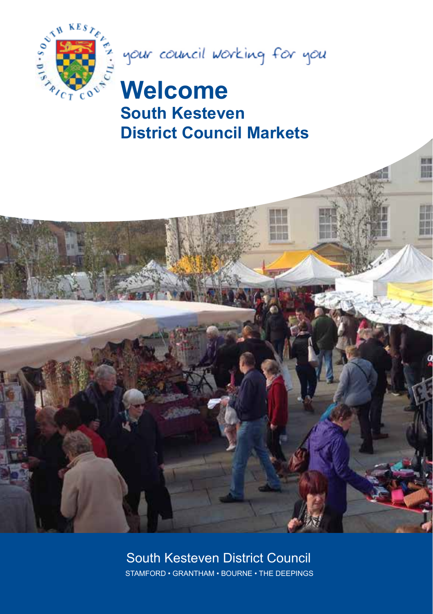



H

# **Welcome South Kesteven District Council Markets**



#### South Kesteven District Council STAMFORD • GRANTHAM • BOURNE • THE DEEPINGS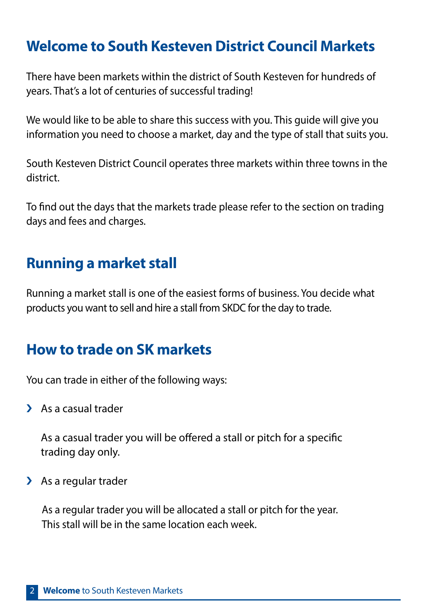## **Welcome to South Kesteven District Council Markets**

There have been markets within the district of South Kesteven for hundreds of years. That's a lot of centuries of successful trading!

We would like to be able to share this success with you. This guide will give you information you need to choose a market, day and the type of stall that suits you.

South Kesteven District Council operates three markets within three towns in the district.

To find out the days that the markets trade please refer to the section on trading days and fees and charges.

## **Running a market stall**

Running a market stall is one of the easiest forms of business. You decide what products you want to sell and hire a stall from SKDC for the day to trade.

## **How to trade on SK markets**

You can trade in either of the following ways:

> As a casual trader

As a casual trader you will be offered a stall or pitch for a specific trading day only.

> As a regular trader

As a regular trader you will be allocated a stall or pitch for the year. This stall will be in the same location each week.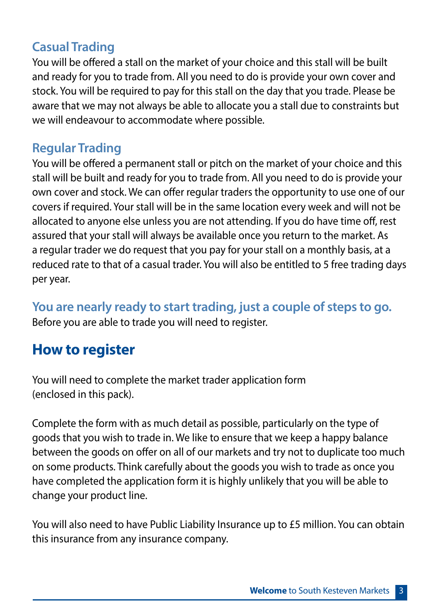### **Casual Trading**

You will be offered a stall on the market of your choice and this stall will be built and ready for you to trade from. All you need to do is provide your own cover and stock. You will be required to pay for this stall on the day that you trade. Please be aware that we may not always be able to allocate you a stall due to constraints but we will endeavour to accommodate where possible.

### **Regular Trading**

You will be offered a permanent stall or pitch on the market of your choice and this stall will be built and ready for you to trade from. All you need to do is provide your own cover and stock. We can offer regular traders the opportunity to use one of our covers if required. Your stall will be in the same location every week and will not be allocated to anyone else unless you are not attending. If you do have time off, rest assured that your stall will always be available once you return to the market. As a regular trader we do request that you pay for your stall on a monthly basis, at a reduced rate to that of a casual trader. You will also be entitled to 5 free trading days per year.

**You are nearly ready to start trading, just a couple of steps to go.** Before you are able to trade you will need to register.

## **How to register**

You will need to complete the market trader application form (enclosed in this pack).

Complete the form with as much detail as possible, particularly on the type of goods that you wish to trade in. We like to ensure that we keep a happy balance between the goods on offer on all of our markets and try not to duplicate too much on some products. Think carefully about the goods you wish to trade as once you have completed the application form it is highly unlikely that you will be able to change your product line.

You will also need to have Public Liability Insurance up to £5 million. You can obtain this insurance from any insurance company.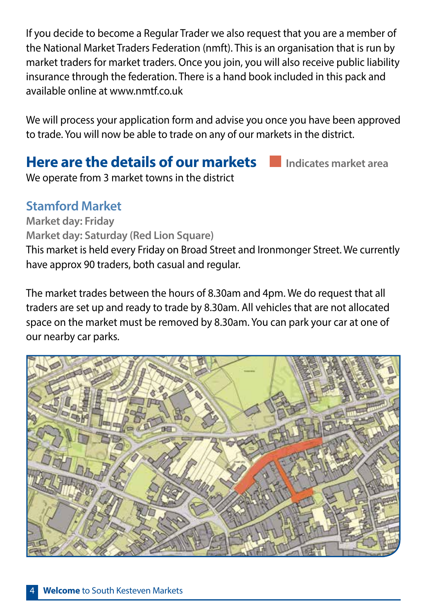If you decide to become a Regular Trader we also request that you are a member of the National Market Traders Federation (nmft). This is an organisation that is run by market traders for market traders. Once you join, you will also receive public liability insurance through the federation. There is a hand book included in this pack and available online at www.nmtf.co.uk

We will process your application form and advise you once you have been approved to trade. You will now be able to trade on any of our markets in the district.

### **Here are the details of our markets Indicates market area**

We operate from 3 market towns in the district

#### **Stamford Market**

**Market day: Friday Market day: Saturday (Red Lion Square)**

This market is held every Friday on Broad Street and Ironmonger Street. We currently have approx 90 traders, both casual and regular.

The market trades between the hours of 8.30am and 4pm. We do request that all traders are set up and ready to trade by 8.30am. All vehicles that are not allocated space on the market must be removed by 8.30am. You can park your car at one of our nearby car parks.

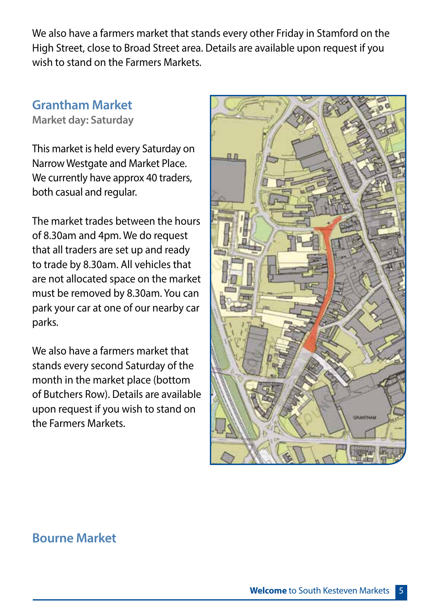We also have a farmers market that stands every other Friday in Stamford on the High Street, close to Broad Street area. Details are available upon request if you wish to stand on the Farmers Markets.

## **Grantham Market**

**Market day: Saturday**

This market is held every Saturday on Narrow Westgate and Market Place. We currently have approx 40 traders, both casual and regular.

The market trades between the hours of 8.30am and 4pm. We do request that all traders are set up and ready to trade by 8.30am. All vehicles that are not allocated space on the market must be removed by 8.30am. You can park your car at one of our nearby car parks.

We also have a farmers market that stands every second Saturday of the month in the market place (bottom of Butchers Row). Details are available upon request if you wish to stand on the Farmers Markets.



#### **Bourne Market**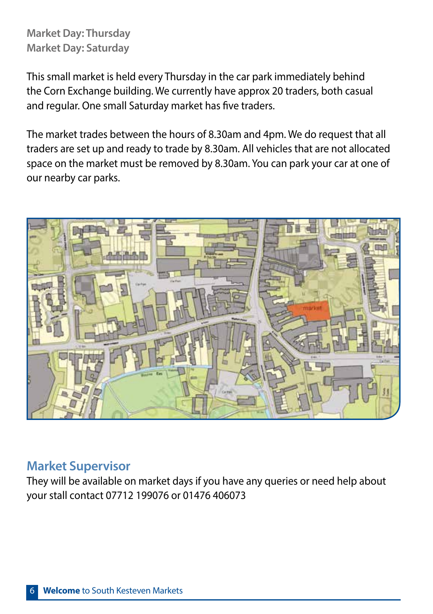#### **Market Day: Thursday Market Day: Saturday**

This small market is held every Thursday in the car park immediately behind the Corn Exchange building. We currently have approx 20 traders, both casual and regular. One small Saturday market has five traders.

The market trades between the hours of 8.30am and 4pm. We do request that all traders are set up and ready to trade by 8.30am. All vehicles that are not allocated space on the market must be removed by 8.30am. You can park your car at one of our nearby car parks.



#### **Market Supervisor**

They will be available on market days if you have any queries or need help about your stall contact 07712 199076 or 01476 406073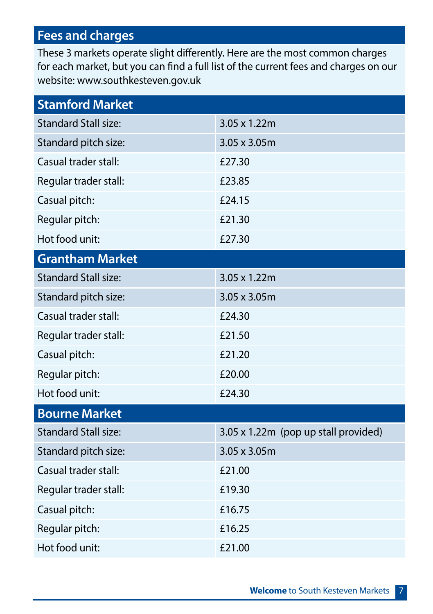### **Fees and charges**

These 3 markets operate slight differently. Here are the most common charges for each market, but you can find a full list of the current fees and charges on our website: www.southkesteven.gov.uk

| <b>Stamford Market</b>      |                                      |
|-----------------------------|--------------------------------------|
| <b>Standard Stall size:</b> | 3.05 x 1.22m                         |
| Standard pitch size:        | 3.05 x 3.05m                         |
| Casual trader stall:        | £27.30                               |
| Regular trader stall:       | £23.85                               |
| Casual pitch:               | £24.15                               |
| Regular pitch:              | £21.30                               |
| Hot food unit:              | £27.30                               |
| <b>Grantham Market</b>      |                                      |
| <b>Standard Stall size:</b> | 3.05 x 1.22m                         |
| Standard pitch size:        | 3.05 x 3.05m                         |
| Casual trader stall:        | £24.30                               |
| Regular trader stall:       | £21.50                               |
| Casual pitch:               | £21.20                               |
| Regular pitch:              | £20.00                               |
| Hot food unit:              | £24.30                               |
| <b>Bourne Market</b>        |                                      |
| <b>Standard Stall size:</b> | 3.05 x 1.22m (pop up stall provided) |
| Standard pitch size:        | 3.05 x 3.05m                         |
| Casual trader stall:        | £21.00                               |
| Regular trader stall:       | £19.30                               |
| Casual pitch:               | £16.75                               |
| Regular pitch:              | £16.25                               |
| Hot food unit:              | £21.00                               |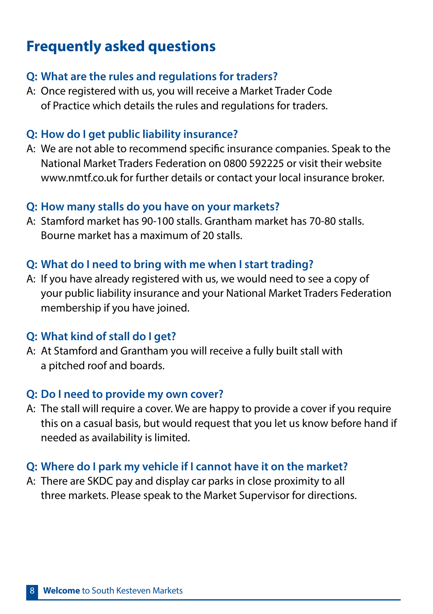## **Frequently asked questions**

#### **Q: What are the rules and regulations for traders?**

A: Once registered with us, you will receive a Market Trader Code of Practice which details the rules and regulations for traders.

#### **Q: How do I get public liability insurance?**

A: We are not able to recommend specific insurance companies. Speak to the National Market Traders Federation on 0800 592225 or visit their website www.nmtf.co.uk for further details or contact your local insurance broker.

#### **Q: How many stalls do you have on your markets?**

A: Stamford market has 90-100 stalls. Grantham market has 70-80 stalls. Bourne market has a maximum of 20 stalls.

#### **Q: What do I need to bring with me when I start trading?**

A: If you have already registered with us, we would need to see a copy of your public liability insurance and your National Market Traders Federation membership if you have joined.

#### **Q: What kind of stall do I get?**

A: At Stamford and Grantham you will receive a fully built stall with a pitched roof and boards.

#### **Q: Do I need to provide my own cover?**

A: The stall will require a cover. We are happy to provide a cover if you require this on a casual basis, but would request that you let us know before hand if needed as availability is limited.

#### **Q: Where do I park my vehicle if I cannot have it on the market?**

A: There are SKDC pay and display car parks in close proximity to all three markets. Please speak to the Market Supervisor for directions.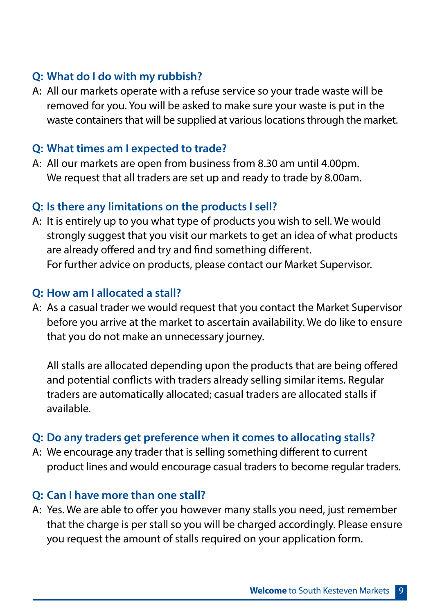#### **Q: What do I do with my rubbish?**

A: All our markets operate with a refuse service so your trade waste will be removed for you. You will be asked to make sure your waste is put in the waste containers that will be supplied at various locations through the market.

#### **Q: What times am I expected to trade?**

A: All our markets are open from business from 8.30 am until 4.00pm. We request that all traders are set up and ready to trade by 8.00am.

#### **Q: Is there any limitations on the products I sell?**

A: It is entirely up to you what type of products you wish to sell. We would strongly suggest that you visit our markets to get an idea of what products are already offered and try and find something different. For further advice on products, please contact our Market Supervisor.

#### **Q: How am I allocated a stall?**

A: As a casual trader we would request that you contact the Market Supervisor before you arrive at the market to ascertain availability. We do like to ensure that you do not make an unnecessary journey.

All stalls are allocated depending upon the products that are being offered and potential conflicts with traders already selling similar items. Regular traders are automatically allocated; casual traders are allocated stalls if available.

#### **Q: Do any traders get preference when it comes to allocating stalls?**

A: We encourage any trader that is selling something different to current product lines and would encourage casual traders to become regular traders.

#### **Q: Can I have more than one stall?**

A: Yes. We are able to offer you however many stalls you need, just remember that the charge is per stall so you will be charged accordingly. Please ensure you request the amount of stalls required on your application form.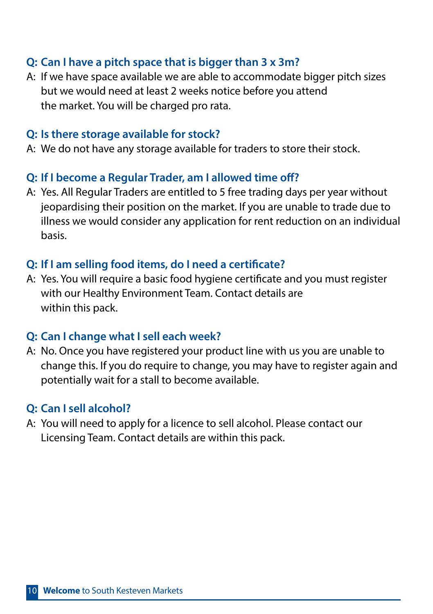#### **Q: Can I have a pitch space that is bigger than 3 x 3m?**

A: If we have space available we are able to accommodate bigger pitch sizes but we would need at least 2 weeks notice before you attend the market. You will be charged pro rata.

#### **Q: Is there storage available for stock?**

A: We do not have any storage available for traders to store their stock.

#### **Q: If I become a Regular Trader, am I allowed time off?**

A: Yes. All Regular Traders are entitled to 5 free trading days per year without jeopardising their position on the market. If you are unable to trade due to illness we would consider any application for rent reduction on an individual basis.

#### **Q: If I am selling food items, do I need a certificate?**

A: Yes. You will require a basic food hygiene certificate and you must register with our Healthy Environment Team. Contact details are within this pack.

#### **Q: Can I change what I sell each week?**

A: No. Once you have registered your product line with us you are unable to change this. If you do require to change, you may have to register again and potentially wait for a stall to become available.

#### **Q: Can I sell alcohol?**

A: You will need to apply for a licence to sell alcohol. Please contact our Licensing Team. Contact details are within this pack.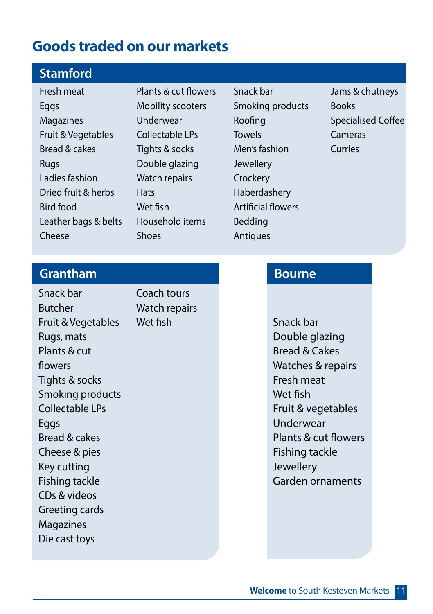## **Goods traded on our markets**

### **Stamford**

Fresh meat **Eggs** Magazines Fruit & Vegetables Bread & cakes Rugs Ladies fashion Dried fruit & herbs Bird food Leather bags & belts Cheese

Plants & cut flowers Mobility scooters Underwear Collectable LPs Tights & socks Double glazing Watch repairs **Hats** Wet fish Household items Shoes

Snack bar Smoking products Roofing **Towels** Men's fashion Jewellery **Crockery** Haberdashery Artificial flowers Bedding **Antiques** 

Jams & chutneys Books Specialised Coffee Cameras Curries

#### **Grantham**

Snack bar Butcher Fruit & Vegetables Rugs, mats Plants & cut flowers Tights & socks Smoking products Collectable LPs Eggs Bread & cakes Cheese & pies Key cutting Fishing tackle CDs & videos Greeting cards Magazines Die cast toys Coach tours Watch repairs

#### **Bourne**

Wet fish Snack bar Double glazing Bread & Cakes Watches & repairs Fresh meat Wet fish Fruit & vegetables Underwear Plants & cut flowers Fishing tackle Jewellery Garden ornaments